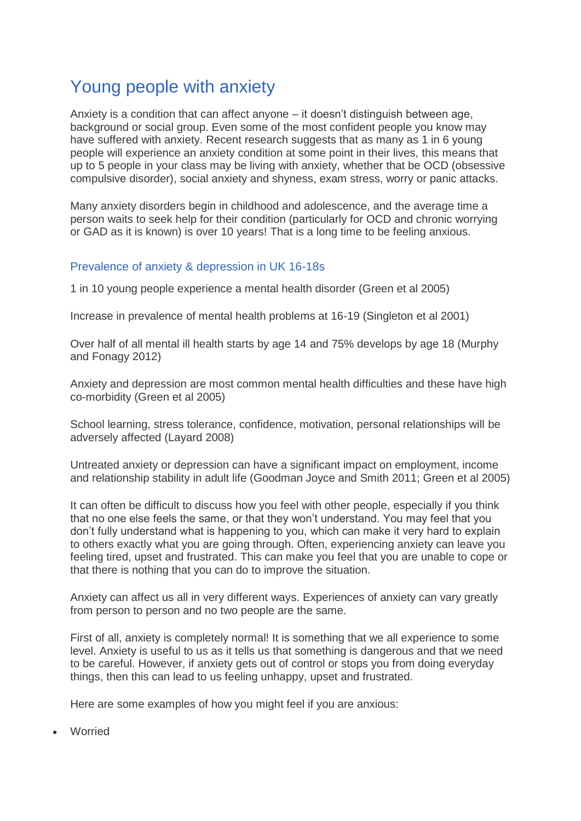# Young people with anxiety

Anxiety is a condition that can affect anyone – it doesn't distinguish between age, background or social group. Even some of the most confident people you know may have suffered with anxiety. Recent research suggests that as many as 1 in 6 young people will experience an anxiety condition at some point in their lives, this means that up to 5 people in your class may be living with anxiety, whether that be OCD (obsessive compulsive disorder), social anxiety and shyness, exam stress, worry or panic attacks.

Many anxiety disorders begin in childhood and adolescence, and the average time a person waits to seek help for their condition (particularly for OCD and chronic worrying or GAD as it is known) is over 10 years! That is a long time to be feeling anxious.

### Prevalence of anxiety & depression in UK 16-18s

1 in 10 young people experience a mental health disorder (Green et al 2005)

Increase in prevalence of mental health problems at 16-19 (Singleton et al 2001)

Over half of all mental ill health starts by age 14 and 75% develops by age 18 (Murphy and Fonagy 2012)

Anxiety and depression are most common mental health difficulties and these have high co-morbidity (Green et al 2005)

School learning, stress tolerance, confidence, motivation, personal relationships will be adversely affected (Layard 2008)

Untreated anxiety or depression can have a significant impact on employment, income and relationship stability in adult life (Goodman Joyce and Smith 2011; Green et al 2005)

It can often be difficult to discuss how you feel with other people, especially if you think that no one else feels the same, or that they won't understand. You may feel that you don't fully understand what is happening to you, which can make it very hard to explain to others exactly what you are going through. Often, experiencing anxiety can leave you feeling tired, upset and frustrated. This can make you feel that you are unable to cope or that there is nothing that you can do to improve the situation.

Anxiety can affect us all in very different ways. Experiences of anxiety can vary greatly from person to person and no two people are the same.

First of all, anxiety is completely normal! It is something that we all experience to some level. Anxiety is useful to us as it tells us that something is dangerous and that we need to be careful. However, if anxiety gets out of control or stops you from doing everyday things, then this can lead to us feeling unhappy, upset and frustrated.

Here are some examples of how you might feel if you are anxious:

Worried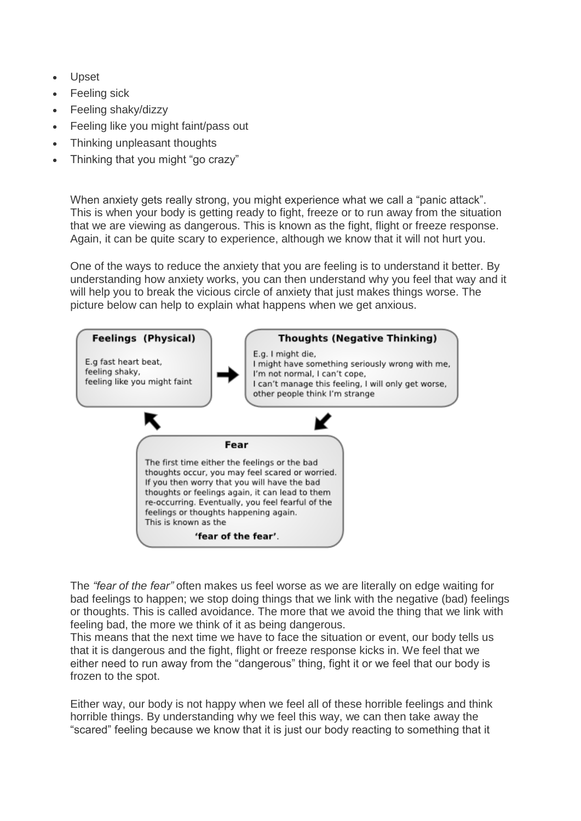- Upset
- Feeling sick
- Feeling shaky/dizzy
- Feeling like you might faint/pass out
- Thinking unpleasant thoughts
- Thinking that you might "go crazy"

When anxiety gets really strong, you might experience what we call a "panic attack". This is when your body is getting ready to fight, freeze or to run away from the situation that we are viewing as dangerous. This is known as the fight, flight or freeze response. Again, it can be quite scary to experience, although we know that it will not hurt you.

One of the ways to reduce the anxiety that you are feeling is to understand it better. By understanding how anxiety works, you can then understand why you feel that way and it will help you to break the vicious circle of anxiety that just makes things worse. The picture below can help to explain what happens when we get anxious.



The *"fear of the fear"* often makes us feel worse as we are literally on edge waiting for bad feelings to happen; we stop doing things that we link with the negative (bad) feelings or thoughts. This is called avoidance. The more that we avoid the thing that we link with feeling bad, the more we think of it as being dangerous.

This means that the next time we have to face the situation or event, our body tells us that it is dangerous and the fight, flight or freeze response kicks in. We feel that we either need to run away from the "dangerous" thing, fight it or we feel that our body is frozen to the spot.

Either way, our body is not happy when we feel all of these horrible feelings and think horrible things. By understanding why we feel this way, we can then take away the "scared" feeling because we know that it is just our body reacting to something that it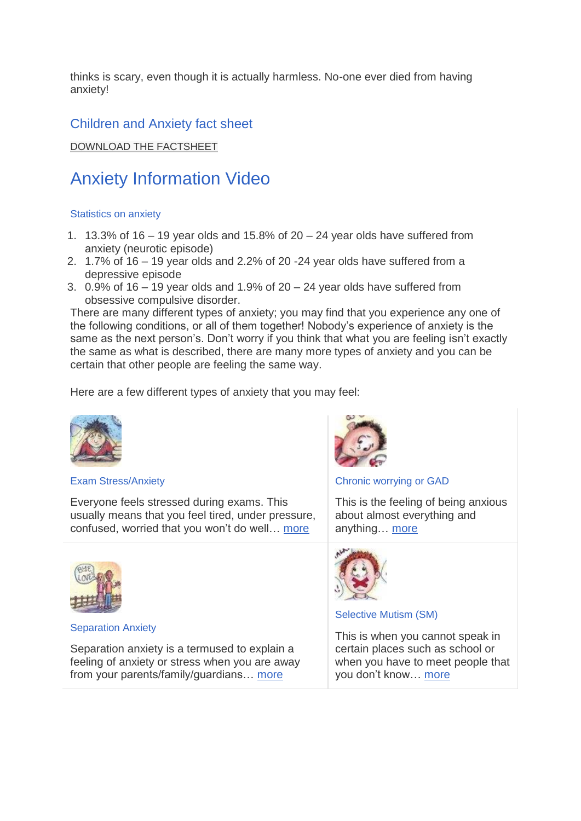thinks is scary, even though it is actually harmless. No-one ever died from having anxiety!

### Children and Anxiety fact sheet

[DOWNLOAD THE FACTSHEET](https://www.anxietyuk.org.uk/products/children-and-anxiety-fact-sheet-instant-download/)

# Anxiety Information Video

#### Statistics on anxiety

- 1. 13.3% of 16 19 year olds and 15.8% of  $20 24$  year olds have suffered from anxiety (neurotic episode)
- 2. 1.7% of 16 19 year olds and 2.2% of 20 -24 year olds have suffered from a depressive episode
- 3. 0.9% of  $16 19$  year olds and  $1.9\%$  of  $20 24$  year olds have suffered from obsessive compulsive disorder.

There are many different types of anxiety; you may find that you experience any one of the following conditions, or all of them together! Nobody's experience of anxiety is the same as the next person's. Don't worry if you think that what you are feeling isn't exactly the same as what is described, there are many more types of anxiety and you can be certain that other people are feeling the same way.

Here are a few different types of anxiety that you may feel:



#### Exam Stress/Anxiety

Everyone feels stressed during exams. This usually means that you feel tired, under pressure, confused, worried that you won't do well… [more](https://www.anxietyuk.org.uk/get-help/anxiety-information/young-people-and-anxiety/exam-stressanxiety/)



Separation Anxiety

Separation anxiety is a termused to explain a feeling of anxiety or stress when you are away from your parents/family/guardians… [more](https://www.anxietyuk.org.uk/our-services/anxiety-information/young-people-and-anxiety/separation-anxiety/)



Chronic worrying or GAD

This is the feeling of being anxious about almost everything and anything… [more](https://www.anxietyuk.org.uk/get-help/anxiety-information/anxiety-disorders/gad/)



#### Selective Mutism (SM)

This is when you cannot speak in certain places such as school or when you have to meet people that you don't know… [more](https://www.anxietyuk.org.uk/get-help/anxiety-information/young-people-and-anxiety/selective-mutism/)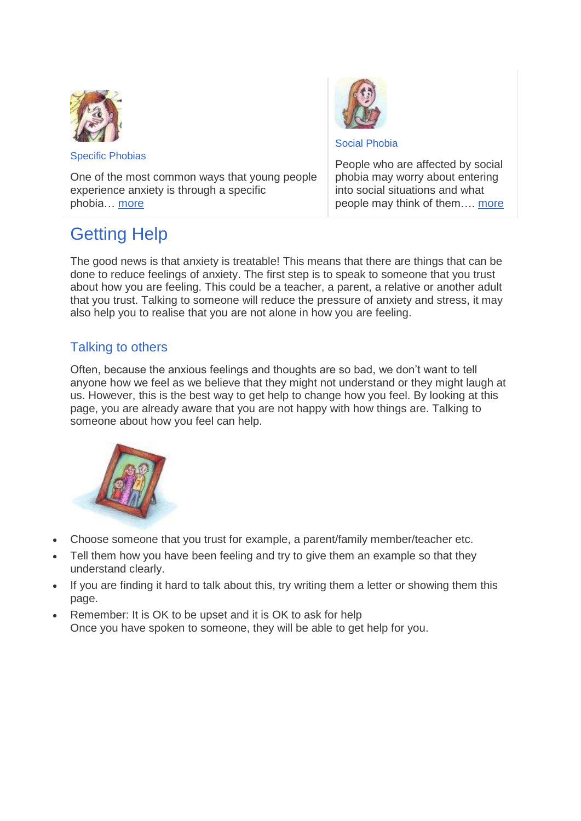

Specific Phobias

Social Phobia

One of the most common ways that young people experience anxiety is through a specific phobia… [more](https://www.anxietyuk.org.uk/get-help/anxiety-information/young-people-and-anxiety/specific-phobias/)

People who are affected by social phobia may worry about entering into social situations and what people may think of them…. [more](https://www.anxietyuk.org.uk/our-services/anxiety-information/young-people-and-anxiety/social-phobia/)

# Getting Help

The good news is that anxiety is treatable! This means that there are things that can be done to reduce feelings of anxiety. The first step is to speak to someone that you trust about how you are feeling. This could be a teacher, a parent, a relative or another adult that you trust. Talking to someone will reduce the pressure of anxiety and stress, it may also help you to realise that you are not alone in how you are feeling.

### Talking to others

Often, because the anxious feelings and thoughts are so bad, we don't want to tell anyone how we feel as we believe that they might not understand or they might laugh at us. However, this is the best way to get help to change how you feel. By looking at this page, you are already aware that you are not happy with how things are. Talking to someone about how you feel can help.



- Choose someone that you trust for example, a parent/family member/teacher etc.
- Tell them how you have been feeling and try to give them an example so that they understand clearly.
- If you are finding it hard to talk about this, try writing them a letter or showing them this page.
- Remember: It is OK to be upset and it is OK to ask for help Once you have spoken to someone, they will be able to get help for you.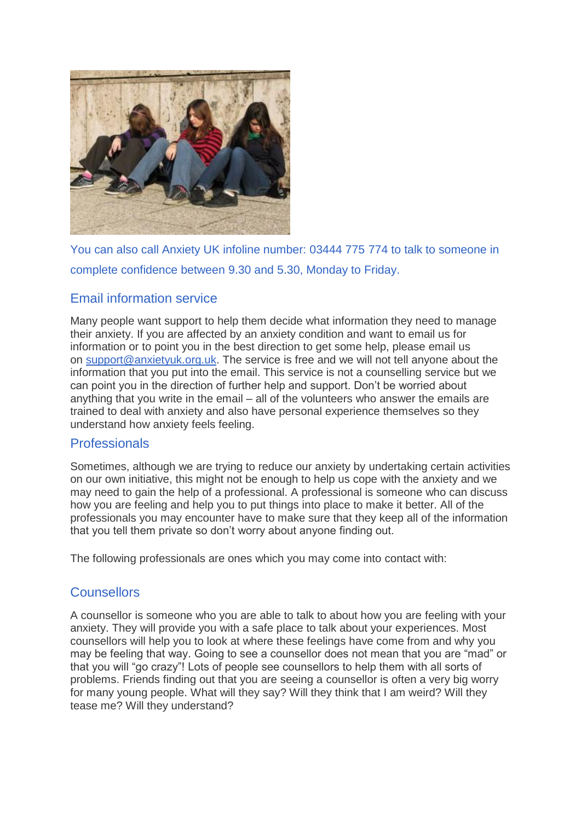

You can also call Anxiety UK infoline number: 03444 775 774 to talk to someone in complete confidence between 9.30 and 5.30, Monday to Friday.

### Email information service

Many people want support to help them decide what information they need to manage their anxiety. If you are affected by an anxiety condition and want to email us for information or to point you in the best direction to get some help, please email us on [support@anxietyuk.org.uk.](mailto:support@anxietyuk.org.uk) The service is free and we will not tell anyone about the information that you put into the email. This service is not a counselling service but we can point you in the direction of further help and support. Don't be worried about anything that you write in the email – all of the volunteers who answer the emails are trained to deal with anxiety and also have personal experience themselves so they understand how anxiety feels feeling.

### **Professionals**

Sometimes, although we are trying to reduce our anxiety by undertaking certain activities on our own initiative, this might not be enough to help us cope with the anxiety and we may need to gain the help of a professional. A professional is someone who can discuss how you are feeling and help you to put things into place to make it better. All of the professionals you may encounter have to make sure that they keep all of the information that you tell them private so don't worry about anyone finding out.

The following professionals are ones which you may come into contact with:

### **Counsellors**

A counsellor is someone who you are able to talk to about how you are feeling with your anxiety. They will provide you with a safe place to talk about your experiences. Most counsellors will help you to look at where these feelings have come from and why you may be feeling that way. Going to see a counsellor does not mean that you are "mad" or that you will "go crazy"! Lots of people see counsellors to help them with all sorts of problems. Friends finding out that you are seeing a counsellor is often a very big worry for many young people. What will they say? Will they think that I am weird? Will they tease me? Will they understand?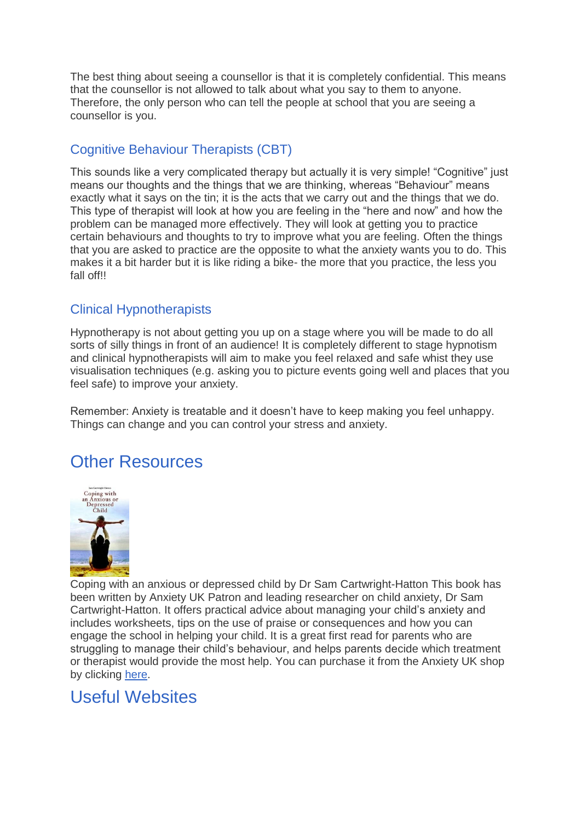The best thing about seeing a counsellor is that it is completely confidential. This means that the counsellor is not allowed to talk about what you say to them to anyone. Therefore, the only person who can tell the people at school that you are seeing a counsellor is you.

### Cognitive Behaviour Therapists (CBT)

This sounds like a very complicated therapy but actually it is very simple! "Cognitive" just means our thoughts and the things that we are thinking, whereas "Behaviour" means exactly what it says on the tin; it is the acts that we carry out and the things that we do. This type of therapist will look at how you are feeling in the "here and now" and how the problem can be managed more effectively. They will look at getting you to practice certain behaviours and thoughts to try to improve what you are feeling. Often the things that you are asked to practice are the opposite to what the anxiety wants you to do. This makes it a bit harder but it is like riding a bike- the more that you practice, the less you fall off!!

### Clinical Hypnotherapists

Hypnotherapy is not about getting you up on a stage where you will be made to do all sorts of silly things in front of an audience! It is completely different to stage hypnotism and clinical hypnotherapists will aim to make you feel relaxed and safe whist they use visualisation techniques (e.g. asking you to picture events going well and places that you feel safe) to improve your anxiety.

Remember: Anxiety is treatable and it doesn't have to keep making you feel unhappy. Things can change and you can control your stress and anxiety.

## Other Resources



Coping with an anxious or depressed child by Dr Sam Cartwright-Hatton This book has been written by Anxiety UK Patron and leading researcher on child anxiety, Dr Sam Cartwright-Hatton. It offers practical advice about managing your child's anxiety and includes worksheets, tips on the use of praise or consequences and how you can engage the school in helping your child. It is a great first read for parents who are struggling to manage their child's behaviour, and helps parents decide which treatment or therapist would provide the most help. You can purchase it from the Anxiety UK shop by clicking [here.](https://www.anxietyuk.org.uk/products/coping-with-an-anxious-or-depressed-child-by-dr-sam-cartwright-hatton/)

## Useful Websites